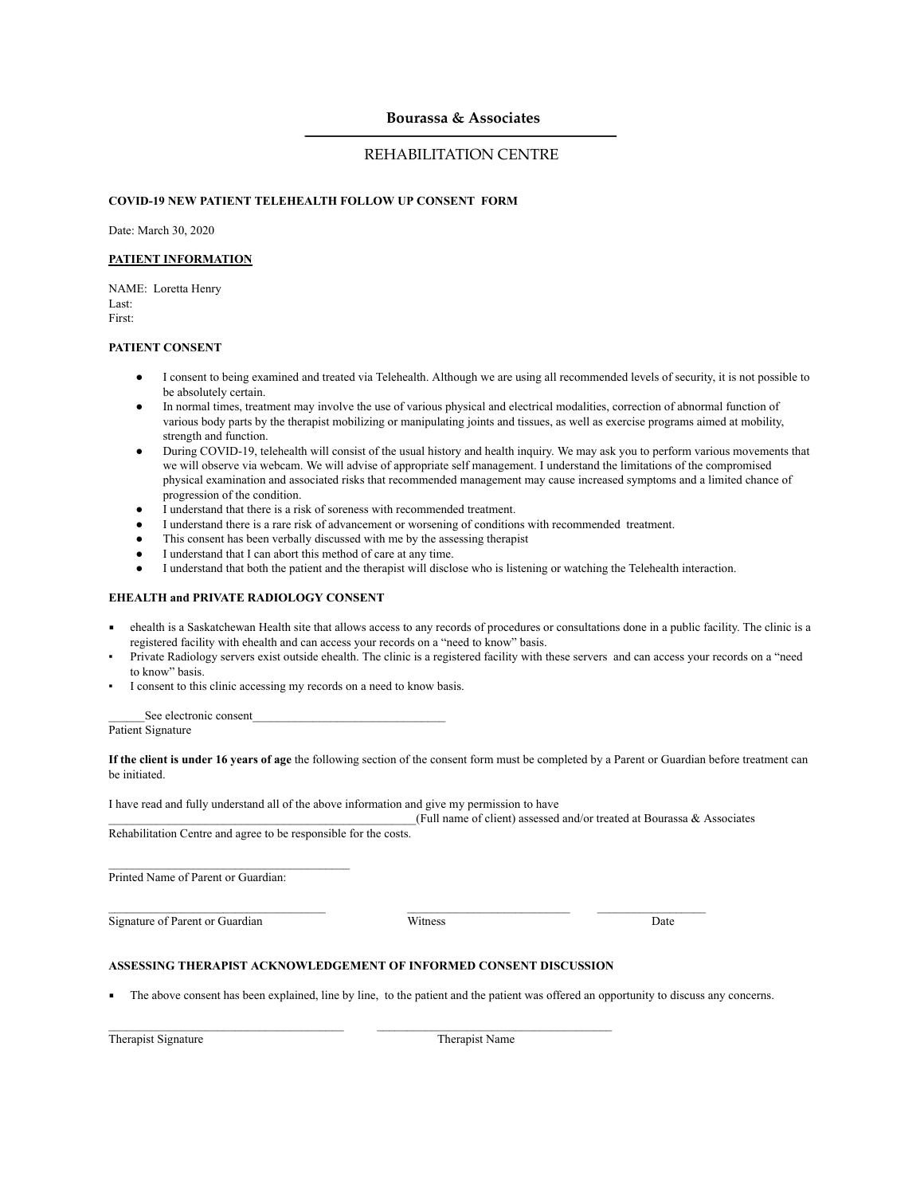# **Bourassa & Associates**

# REHABILITATION CENTRE

## **COVID-19 NEW PATIENT TELEHEALTH FOLLOW UP CONSENT FORM**

Date: March 30, 2020

### **PATIENT INFORMATION**

NAME: Loretta Henry Last: First:

#### **PATIENT CONSENT**

- I consent to being examined and treated via Telehealth. Although we are using all recommended levels of security, it is not possible to be absolutely certain.
- In normal times, treatment may involve the use of various physical and electrical modalities, correction of abnormal function of various body parts by the therapist mobilizing or manipulating joints and tissues, as well as exercise programs aimed at mobility, strength and function.
- During COVID-19, telehealth will consist of the usual history and health inquiry. We may ask you to perform various movements that we will observe via webcam. We will advise of appropriate self management. I understand the limitations of the compromised physical examination and associated risks that recommended management may cause increased symptoms and a limited chance of progression of the condition.
- I understand that there is a risk of soreness with recommended treatment.
- I understand there is a rare risk of advancement or worsening of conditions with recommended treatment.
- This consent has been verbally discussed with me by the assessing therapist
- I understand that I can abort this method of care at any time.
- I understand that both the patient and the therapist will disclose who is listening or watching the Telehealth interaction.

## **EHEALTH and PRIVATE RADIOLOGY CONSENT**

- ehealth is a Saskatchewan Health site that allows access to any records of procedures or consultations done in a public facility. The clinic is a registered facility with ehealth and can access your records on a "need to know" basis.
- Private Radiology servers exist outside ehealth. The clinic is a registered facility with these servers and can access your records on a "need to know" basis.
- I consent to this clinic accessing my records on a need to know basis.

See electronic consent\_

Patient Signature

**If the client is under 16 years of age** the following section of the consent form must be completed by a Parent or Guardian before treatment can be initiated.

I have read and fully understand all of the above information and give my permission to have

 $_{\leq}$  (Full name of client) assessed and/or treated at Bourassa & Associates

Rehabilitation Centre and agree to be responsible for the costs.

 $\mathcal{L}_\text{max}$  and  $\mathcal{L}_\text{max}$  and  $\mathcal{L}_\text{max}$  and  $\mathcal{L}_\text{max}$ 

Printed Name of Parent or Guardian:

Signature of Parent or Guardian Witness Date

 $\_$  , and the state of the state of the state of the state of the state of the state of the state of the state of the state of the state of the state of the state of the state of the state of the state of the state of the

## **ASSESSING THERAPIST ACKNOWLEDGEMENT OF INFORMED CONSENT DISCUSSION**

 $\_$  , and the set of the set of the set of the set of the set of the set of the set of the set of the set of the set of the set of the set of the set of the set of the set of the set of the set of the set of the set of th

The above consent has been explained, line by line, to the patient and the patient was offered an opportunity to discuss any concerns.

Therapist Signature Therapist Name